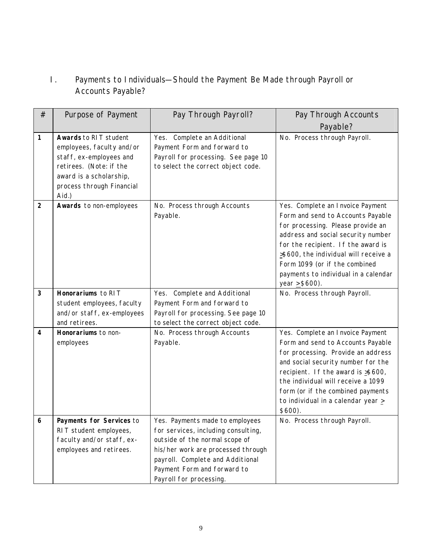## I. Payments to Individuals—Should the Payment Be Made through Payroll or Accounts Payable?

| #              | Purpose of Payment                                                                                                                                                        | Pay Through Payroll?                                                                                                                                                                                                                         | Pay Through Accounts                                                                                                                                                                                                                                                                                                         |
|----------------|---------------------------------------------------------------------------------------------------------------------------------------------------------------------------|----------------------------------------------------------------------------------------------------------------------------------------------------------------------------------------------------------------------------------------------|------------------------------------------------------------------------------------------------------------------------------------------------------------------------------------------------------------------------------------------------------------------------------------------------------------------------------|
|                |                                                                                                                                                                           |                                                                                                                                                                                                                                              | Payable?                                                                                                                                                                                                                                                                                                                     |
| 1              | Awards to RIT student<br>employees, faculty and/or<br>staff, ex-employees and<br>retirees. (Note: if the<br>award is a scholarship,<br>process through Financial<br>Aid.) | Complete an Additional<br>Yes.<br>Payment Form and forward to<br>Payroll for processing. See page 10<br>to select the correct object code.                                                                                                   | No. Process through Payroll.                                                                                                                                                                                                                                                                                                 |
| $\overline{2}$ | Awards to non-employees                                                                                                                                                   | No. Process through Accounts<br>Payable.                                                                                                                                                                                                     | Yes. Complete an Invoice Payment<br>Form and send to Accounts Payable<br>for processing. Please provide an<br>address and social security number<br>for the recipient. If the award is<br>>\$600, the individual will receive a<br>Form 1099 (or if the combined<br>payments to individual in a calendar<br>year $>$ \$600). |
| 3              | Honorariums to RIT<br>student employees, faculty<br>and/or staff, ex-employees<br>and retirees.                                                                           | Complete and Additional<br>Yes.<br>Payment Form and forward to<br>Payroll for processing. See page 10<br>to select the correct object code.                                                                                                  | No. Process through Payroll.                                                                                                                                                                                                                                                                                                 |
| 4              | Honorariums to non-<br>employees                                                                                                                                          | No. Process through Accounts<br>Payable.                                                                                                                                                                                                     | Yes. Complete an Invoice Payment<br>Form and send to Accounts Payable<br>for processing. Provide an address<br>and social security number for the<br>recipient. If the award is >\$600,<br>the individual will receive a 1099<br>form (or if the combined payments<br>to individual in a calendar year ><br>$$600$ ).        |
|                | Payments for Services to<br>RIT student employees,<br>faculty and/or staff, ex-<br>employees and retirees.                                                                | Yes. Payments made to employees<br>for services, including consulting,<br>outside of the normal scope of<br>his/her work are processed through<br>payroll. Complete and Additional<br>Payment Form and forward to<br>Payroll for processing. | No. Process through Payroll.                                                                                                                                                                                                                                                                                                 |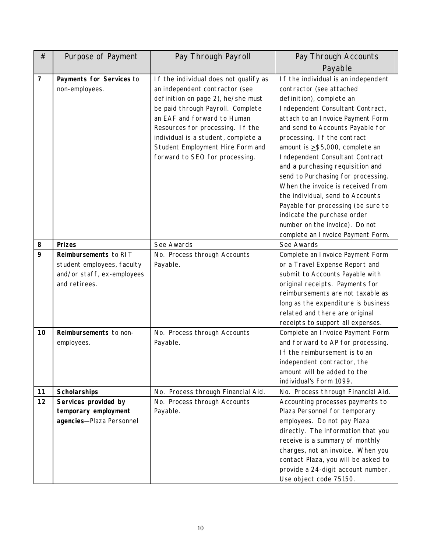| #                       | Purpose of Payment                                                                                 | Pay Through Payroll                                                                                                                                                                                                                                                                                                                | Pay Through Accounts                                                                                                                                                                                                                                                                                                                                                                                                                                                                                                                                                                                            |
|-------------------------|----------------------------------------------------------------------------------------------------|------------------------------------------------------------------------------------------------------------------------------------------------------------------------------------------------------------------------------------------------------------------------------------------------------------------------------------|-----------------------------------------------------------------------------------------------------------------------------------------------------------------------------------------------------------------------------------------------------------------------------------------------------------------------------------------------------------------------------------------------------------------------------------------------------------------------------------------------------------------------------------------------------------------------------------------------------------------|
|                         |                                                                                                    |                                                                                                                                                                                                                                                                                                                                    | Payable                                                                                                                                                                                                                                                                                                                                                                                                                                                                                                                                                                                                         |
| $\overline{\mathbf{z}}$ | Payments for Services to<br>non-employees.                                                         | If the individual does not qualify as<br>an independent contractor (see<br>definition on page 2), he/she must<br>be paid through Payroll. Complete<br>an EAF and forward to Human<br>Resources for processing. If the<br>individual is a student, complete a<br>Student Employment Hire Form and<br>forward to SEO for processing. | If the individual is an independent<br>contractor (see attached<br>definition), complete an<br>Independent Consultant Contract,<br>attach to an Invoice Payment Form<br>and send to Accounts Payable for<br>processing. If the contract<br>amount is $>$ \$5,000, complete an<br>Independent Consultant Contract<br>and a purchasing requisition and<br>send to Purchasing for processing.<br>When the invoice is received from<br>the individual, send to Accounts<br>Payable for processing (be sure to<br>indicate the purchase order<br>number on the invoice). Do not<br>complete an Invoice Payment Form. |
| 8                       | <b>Prizes</b>                                                                                      | See Awards                                                                                                                                                                                                                                                                                                                         | See Awards                                                                                                                                                                                                                                                                                                                                                                                                                                                                                                                                                                                                      |
| 9                       | Reimbursements to RIT<br>student employees, faculty<br>and/or staff, ex-employees<br>and retirees. | No. Process through Accounts<br>Payable.                                                                                                                                                                                                                                                                                           | Complete an Invoice Payment Form<br>or a Travel Expense Report and<br>submit to Accounts Payable with<br>original receipts. Payments for<br>reimbursements are not taxable as<br>long as the expenditure is business<br>related and there are original<br>receipts to support all expenses.                                                                                                                                                                                                                                                                                                                     |
| 10                      | Reimbursements to non-<br>employees.                                                               | No. Process through Accounts<br>Payable.                                                                                                                                                                                                                                                                                           | Complete an Invoice Payment Form<br>and forward to AP for processing.<br>If the reimbursement is to an<br>independent contractor, the<br>amount will be added to the<br>individual's Form 1099.                                                                                                                                                                                                                                                                                                                                                                                                                 |
| 11                      | <b>Scholarships</b>                                                                                | No. Process through Financial Aid.                                                                                                                                                                                                                                                                                                 | No. Process through Financial Aid.                                                                                                                                                                                                                                                                                                                                                                                                                                                                                                                                                                              |
| 12                      | Services provided by<br>temporary employment<br>agencies-Plaza Personnel                           | No. Process through Accounts<br>Payable.                                                                                                                                                                                                                                                                                           | Accounting processes payments to<br>Plaza Personnel for temporary<br>employees. Do not pay Plaza<br>directly. The information that you<br>receive is a summary of monthly<br>charges, not an invoice. When you<br>contact Plaza, you will be asked to<br>provide a 24-digit account number.<br>Use object code 75150.                                                                                                                                                                                                                                                                                           |